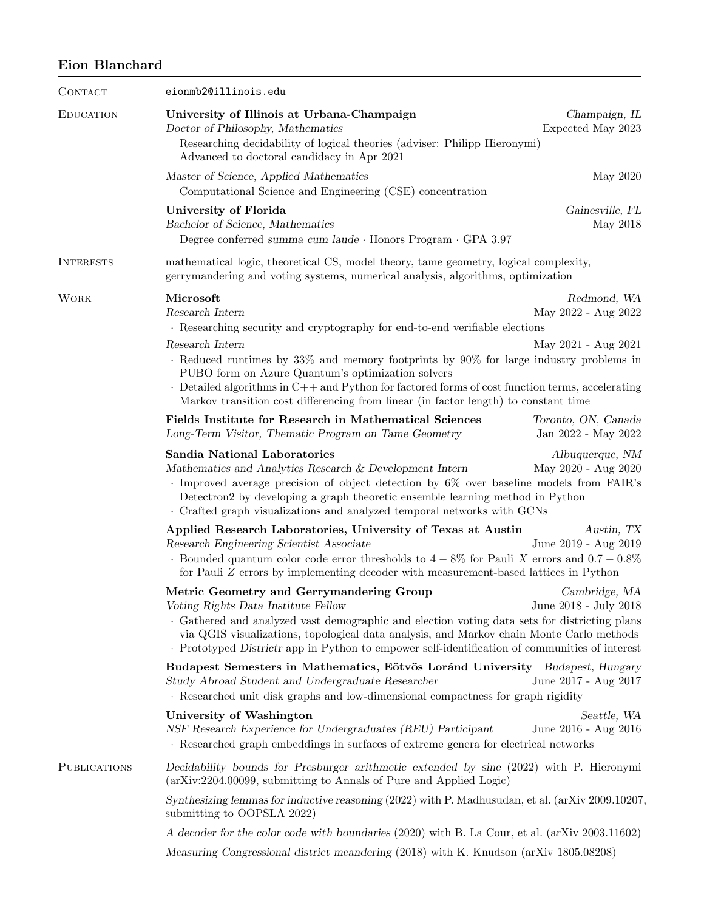## Eion Blanchard

| CONTACT             | eionmb2@illinois.edu                                                                                                                                                                                                                                                                                                                                                                                                                                                               |                                                           |  |
|---------------------|------------------------------------------------------------------------------------------------------------------------------------------------------------------------------------------------------------------------------------------------------------------------------------------------------------------------------------------------------------------------------------------------------------------------------------------------------------------------------------|-----------------------------------------------------------|--|
| <b>EDUCATION</b>    | University of Illinois at Urbana-Champaign<br>Champaign, IL<br>Doctor of Philosophy, Mathematics<br>Expected May 2023<br>Researching decidability of logical theories (adviser: Philipp Hieronymi)<br>Advanced to doctoral candidacy in Apr 2021                                                                                                                                                                                                                                   |                                                           |  |
|                     | Master of Science, Applied Mathematics<br>Computational Science and Engineering (CSE) concentration                                                                                                                                                                                                                                                                                                                                                                                | May 2020                                                  |  |
|                     | University of Florida<br>Bachelor of Science, Mathematics<br>Degree conferred summa cum laude $\cdot$ Honors Program $\cdot$ GPA 3.97                                                                                                                                                                                                                                                                                                                                              | Gainesville, FL<br>May 2018                               |  |
| <b>INTERESTS</b>    | mathematical logic, theoretical CS, model theory, tame geometry, logical complexity,<br>gerrymandering and voting systems, numerical analysis, algorithms, optimization                                                                                                                                                                                                                                                                                                            |                                                           |  |
| <b>WORK</b>         | Microsoft<br>Research Intern<br>· Researching security and cryptography for end-to-end verifiable elections<br>Research Intern<br>$\cdot$ Reduced runtimes by 33% and memory footprints by 90% for large industry problems in<br>PUBO form on Azure Quantum's optimization solvers<br>$\cdot$ Detailed algorithms in C++ and Python for factored forms of cost function terms, accelerating<br>Markov transition cost differencing from linear (in factor length) to constant time | Redmond, WA<br>May 2022 - Aug 2022<br>May 2021 - Aug 2021 |  |
|                     | Fields Institute for Research in Mathematical Sciences<br>Long-Term Visitor, Thematic Program on Tame Geometry                                                                                                                                                                                                                                                                                                                                                                     | Toronto, ON, Canada<br>Jan 2022 - May 2022                |  |
|                     | Sandia National Laboratories<br>Albuquerque, NM<br>Mathematics and Analytics Research & Development Intern<br>May 2020 - Aug 2020<br>$\cdot$ Improved average precision of object detection by 6% over baseline models from FAIR's<br>Detectron2 by developing a graph theoretic ensemble learning method in Python<br>Crafted graph visualizations and analyzed temporal networks with GCNs                                                                                       |                                                           |  |
|                     | Applied Research Laboratories, University of Texas at Austin<br>Research Engineering Scientist Associate<br>Bounded quantum color code error thresholds to $4-8\%$ for Pauli X errors and $0.7-0.8\%$<br>for Pauli Z errors by implementing decoder with measurement-based lattices in Python                                                                                                                                                                                      | Austin, TX<br>June 2019 - Aug 2019                        |  |
|                     | Metric Geometry and Gerrymandering Group<br>Voting Rights Data Institute Fellow<br>Gathered and analyzed vast demographic and election voting data sets for districting plans<br>via QGIS visualizations, topological data analysis, and Markov chain Monte Carlo methods<br>Prototyped Districtr app in Python to empower self-identification of communities of interest                                                                                                          | Cambridge, MA<br>June 2018 - July 2018                    |  |
|                     | Budapest Semesters in Mathematics, Eötvös Loránd University Budapest, Hungary<br>Study Abroad Student and Undergraduate Researcher<br>Researched unit disk graphs and low-dimensional compactness for graph rigidity                                                                                                                                                                                                                                                               | June 2017 - Aug 2017                                      |  |
|                     | University of Washington<br>NSF Research Experience for Undergraduates (REU) Participant<br>Researched graph embeddings in surfaces of extreme genera for electrical networks                                                                                                                                                                                                                                                                                                      | Seattle, WA<br>June 2016 - Aug 2016                       |  |
| <b>PUBLICATIONS</b> | Decidability bounds for Presburger arithmetic extended by sine (2022) with P. Hieronymi<br>(arXiv:2204.00099, submitting to Annals of Pure and Applied Logic)                                                                                                                                                                                                                                                                                                                      |                                                           |  |
|                     | Synthesizing lemmas for inductive reasoning (2022) with P. Madhusudan, et al. (arXiv 2009.10207,<br>submitting to OOPSLA 2022)                                                                                                                                                                                                                                                                                                                                                     |                                                           |  |
|                     | A decoder for the color code with boundaries (2020) with B. La Cour, et al. (arXiv 2003.11602)<br>Measuring Congressional district meandering (2018) with K. Knudson (arXiv 1805.08208)                                                                                                                                                                                                                                                                                            |                                                           |  |